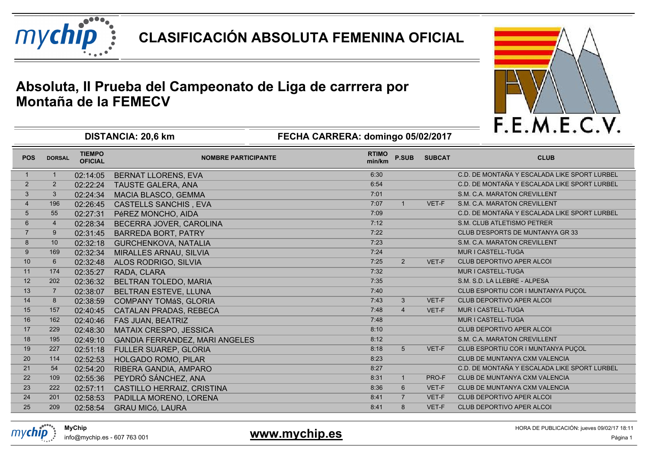

**CLASIFICACIÓN ABSOLUTA FEMENINA OFICIAL**

## **Absoluta, II Prueba del Campeonato de Liga de carrrera porMontaña de la FEMECV**



|                |                |                                 | <b>DISTANGIA. ZU, O KIII</b>          | <b>FEURA UARRERA. GOMMIQU US/UZ/ZUTT</b> |                |               |                                              |
|----------------|----------------|---------------------------------|---------------------------------------|------------------------------------------|----------------|---------------|----------------------------------------------|
| <b>POS</b>     | <b>DORSAL</b>  | <b>TIEMPO</b><br><b>OFICIAL</b> | <b>NOMBRE PARTICIPANTE</b>            | <b>RTIMO</b><br>min/km                   | <b>P.SUB</b>   | <b>SUBCAT</b> | <b>CLUB</b>                                  |
| -1             |                | 02:14:05                        | <b>BERNAT LLORENS, EVA</b>            | 6:30                                     |                |               | C.D. DE MONTAÑA Y ESCALADA LIKE SPORT LURBEL |
| $\overline{2}$ | $\overline{2}$ | 02:22:24                        | TAUSTE GALERA, ANA                    | 6:54                                     |                |               | C.D. DE MONTAÑA Y ESCALADA LIKE SPORT LURBEL |
| 3              | 3              | 02:24:34                        | <b>MACIA BLASCO, GEMMA</b>            | 7:01                                     |                |               | S.M. C.A. MARATON CREVILLENT                 |
| $\overline{4}$ | 196            | 02:26:45                        | <b>CASTELLS SANCHIS, EVA</b>          | 7:07                                     |                | VET-F         | S.M. C.A. MARATON CREVILLENT                 |
| 5              | 55             | 02:27:31                        | PéREZ MONCHO, AIDA                    | 7:09                                     |                |               | C.D. DE MONTAÑA Y ESCALADA LIKE SPORT LURBEL |
| 6              | 4              | 02:28:34                        | BECERRA JOVER, CAROLINA               | 7:12                                     |                |               | S.M. CLUB ATLETISMO PETRER                   |
| $\overline{7}$ | 9              | 02:31:45                        | <b>BARREDA BORT, PATRY</b>            | 7:22                                     |                |               | CLUB D'ESPORTS DE MUNTANYA GR 33             |
| 8              | 10             | 02:32:18                        | <b>GURCHENKOVA, NATALIA</b>           | 7:23                                     |                |               | S.M. C.A. MARATON CREVILLENT                 |
| 9              | 169            | 02:32:34                        | MIRALLES ARNAU, SILVIA                | 7:24                                     |                |               | MUR I CASTELL-TUGA                           |
| 10             | 6              | 02:32:48                        | ALOS RODRIGO, SILVIA                  | 7:25                                     | $2^{\circ}$    | VET-F         | <b>CLUB DEPORTIVO APER ALCOI</b>             |
| 11             | 174            | 02:35:27                        | RADA, CLARA                           | 7:32                                     |                |               | MUR I CASTELL-TUGA                           |
| 12             | 202            | 02:36:32                        | <b>BELTRAN TOLEDO, MARIA</b>          | 7:35                                     |                |               | S.M. S.D. LA LLEBRE - ALPESA                 |
| 13             | $\overline{7}$ | 02:38:07                        | BELTRAN ESTEVE, LLUNA                 | 7:40                                     |                |               | CLUB ESPORTIU COR I MUNTANYA PUÇOL           |
| 14             | 8              | 02:38:59                        | <b>COMPANY TOMáS, GLORIA</b>          | 7:43                                     | 3 <sup>1</sup> | VET-F         | CLUB DEPORTIVO APER ALCOI                    |
| 15             | 157            | 02:40:45                        | <b>CATALAN PRADAS, REBECA</b>         | 7:48                                     | $\overline{4}$ | VET-F         | MUR I CASTELL-TUGA                           |
| 16             | 162            | 02:40:46                        | FAS JUAN, BEATRIZ                     | 7:48                                     |                |               | MUR I CASTELL-TUGA                           |
| 17             | 229            | 02:48:30                        | <b>MATAIX CRESPO, JESSICA</b>         | 8:10                                     |                |               | CLUB DEPORTIVO APER ALCOI                    |
| 18             | 195            | 02:49:10                        | <b>GANDIA FERRANDEZ, MARI ANGELES</b> | 8:12                                     |                |               | S.M. C.A. MARATON CREVILLENT                 |
| 19             | 227            | 02:51:18                        | <b>FULLER SUAREP, GLORIA</b>          | 8:18                                     | 5 <sup>5</sup> | VET-F         | CLUB ESPORTIU COR I MUNTANYA PUCOL           |
| 20             | 114            | 02:52:53                        | <b>HOLGADO ROMO, PILAR</b>            | 8:23                                     |                |               | CLUB DE MUNTANYA CXM VALENCIA                |
| 21             | 54             | 02:54:20                        | RIBERA GANDIA, AMPARO                 | 8:27                                     |                |               | C.D. DE MONTAÑA Y ESCALADA LIKE SPORT LURBEL |
| 22             | 109            | 02:55:36                        | PEYDRÓ SÁNCHEZ, ANA                   | 8:31                                     | $\mathbf{1}$   | PRO-F         | CLUB DE MUNTANYA CXM VALENCIA                |
| 23             | 222            | 02:57:11                        | CASTILLO HERRAIZ, CRISTINA            | 8:36                                     | $6^{\circ}$    | VET-F         | CLUB DE MUNTANYA CXM VALENCIA                |
| 24             | 201            | 02:58:53                        | PADILLA MORENO, LORENA                | 8:41                                     | $\overline{7}$ | VET-F         | <b>CLUB DEPORTIVO APER ALCOI</b>             |
| 25             | 209            | 02:58:54                        | <b>GRAU MICó, LAURA</b>               | 8:41                                     | 8              | VET-F         | <b>CLUB DEPORTIVO APER ALCOI</b>             |

**FECHA CARRERA: domingo 05/02/2017**

info@mychip.es - 607 763 001

**MyChip**

mvchid

**DISTANCIA: 20,6 km**

1 **International Science of Texas and Science of Texas and Science of Texas and Science of Texas and Science of Texas and Página 1 www.mychip.es** 

HORA DE PUBLICACIÓN: jueves 09/02/17 18:11